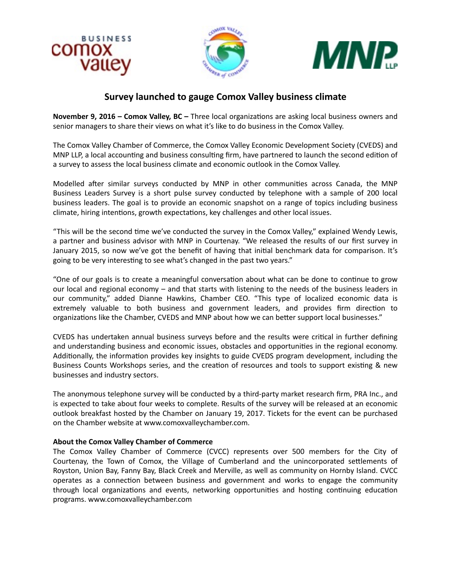





## **Survey launched to gauge Comox Valley business climate**

**November 9, 2016 - Comox Valley, BC** - Three local organizations are asking local business owners and senior managers to share their views on what it's like to do business in the Comox Valley.

The Comox Valley Chamber of Commerce, the Comox Valley Economic Development Society (CVEDS) and MNP LLP, a local accounting and business consulting firm, have partnered to launch the second edition of a survey to assess the local business climate and economic outlook in the Comox Valley.

Modelled after similar surveys conducted by MNP in other communities across Canada, the MNP Business Leaders Survey is a short pulse survey conducted by telephone with a sample of 200 local business leaders. The goal is to provide an economic snapshot on a range of topics including business climate, hiring intentions, growth expectations, key challenges and other local issues.

"This will be the second time we've conducted the survey in the Comox Valley," explained Wendy Lewis, a partner and business advisor with MNP in Courtenay. "We released the results of our first survey in January 2015, so now we've got the benefit of having that initial benchmark data for comparison. It's going to be very interesting to see what's changed in the past two years."

"One of our goals is to create a meaningful conversation about what can be done to continue to grow our local and regional economy – and that starts with listening to the needs of the business leaders in our community," added Dianne Hawkins, Chamber CEO. "This type of localized economic data is extremely valuable to both business and government leaders, and provides firm direction to organizations like the Chamber, CVEDS and MNP about how we can better support local businesses."

CVEDS has undertaken annual business surveys before and the results were critical in further defining and understanding business and economic issues, obstacles and opportunities in the regional economy. Additionally, the information provides key insights to guide CVEDS program development, including the Business Counts Workshops series, and the creation of resources and tools to support existing & new businesses and industry sectors.

The anonymous telephone survey will be conducted by a third-party market research firm, PRA Inc., and is expected to take about four weeks to complete. Results of the survey will be released at an economic outlook breakfast hosted by the Chamber on January 19, 2017. Tickets for the event can be purchased on the Chamber website at www.comoxvalleychamber.com.

## **About the Comox Valley Chamber of Commerce**

The Comox Valley Chamber of Commerce (CVCC) represents over 500 members for the City of Courtenay, the Town of Comox, the Village of Cumberland and the unincorporated settlements of Royston, Union Bay, Fanny Bay, Black Creek and Merville, as well as community on Hornby Island. CVCC operates as a connection between business and government and works to engage the community through local organizations and events, networking opportunities and hosting continuing education programs. www.comoxvalleychamber.com